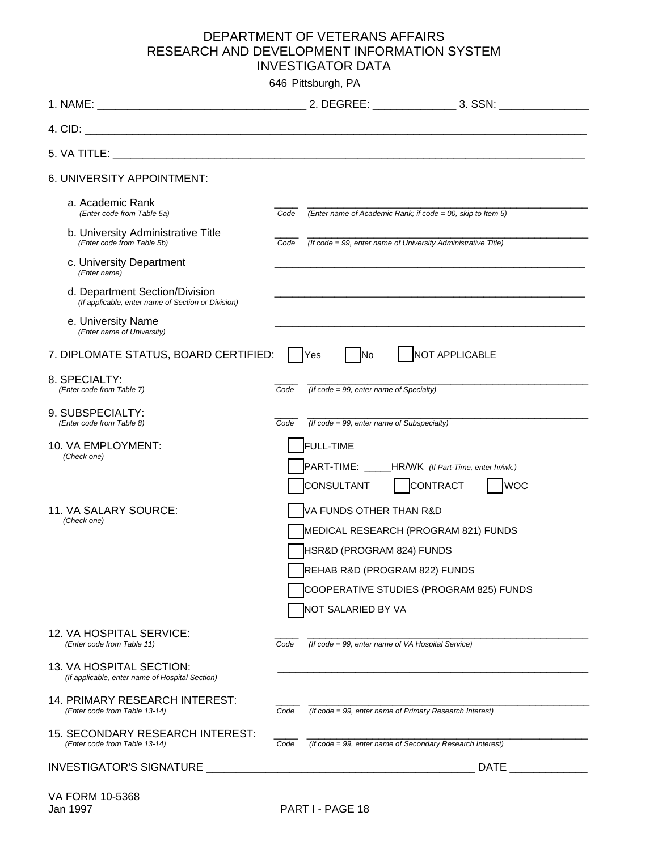## DEPARTMENT OF VETERANS AFFAIRS RESEARCH AND DEVELOPMENT INFORMATION SYSTEM INVESTIGATOR DATA

646 Pittsburgh, PA

| 4. CID:                                                                              |      |                                                                                                                                                                                                |
|--------------------------------------------------------------------------------------|------|------------------------------------------------------------------------------------------------------------------------------------------------------------------------------------------------|
|                                                                                      |      |                                                                                                                                                                                                |
| 6. UNIVERSITY APPOINTMENT:                                                           |      |                                                                                                                                                                                                |
| a. Academic Rank<br>(Enter code from Table 5a)                                       | Code | (Enter name of Academic Rank; if code = 00, skip to Item 5)                                                                                                                                    |
| b. University Administrative Title<br>(Enter code from Table 5b)                     | Code | (If code = 99, enter name of University Administrative Title)                                                                                                                                  |
| c. University Department<br>(Enter name)                                             |      |                                                                                                                                                                                                |
| d. Department Section/Division<br>(If applicable, enter name of Section or Division) |      |                                                                                                                                                                                                |
| e. University Name<br>(Enter name of University)                                     |      |                                                                                                                                                                                                |
| 7. DIPLOMATE STATUS, BOARD CERTIFIED:                                                |      | NOT APPLICABLE<br>No<br><b>Yes</b>                                                                                                                                                             |
| 8. SPECIALTY:<br>(Enter code from Table 7)                                           | Code | (If code = 99, enter name of Specialty)                                                                                                                                                        |
| 9. SUBSPECIALTY:<br>(Enter code from Table 8)                                        | Code | $($ If code = 99, enter name of Subspecialty $)$                                                                                                                                               |
| 10. VA EMPLOYMENT:<br>(Check one)                                                    |      | <b>FULL-TIME</b><br>PART-TIME: _____HR/WK (If Part-Time, enter hr/wk.)<br>CONSULTANT<br>  CONTRACT<br> WOC                                                                                     |
| 11. VA SALARY SOURCE:<br>(Check one)                                                 |      | VA FUNDS OTHER THAN R&D<br>MEDICAL RESEARCH (PROGRAM 821) FUNDS<br>HSR&D (PROGRAM 824) FUNDS<br>REHAB R&D (PROGRAM 822) FUNDS<br>COOPERATIVE STUDIES (PROGRAM 825) FUNDS<br>NOT SALARIED BY VA |
| 12. VA HOSPITAL SERVICE:<br>(Enter code from Table 11)                               | Code | (If code = 99, enter name of VA Hospital Service)                                                                                                                                              |
| 13. VA HOSPITAL SECTION:<br>(If applicable, enter name of Hospital Section)          |      |                                                                                                                                                                                                |
| 14. PRIMARY RESEARCH INTEREST:<br>(Enter code from Table 13-14)                      | Code | (If code = 99, enter name of Primary Research Interest)                                                                                                                                        |
| 15. SECONDARY RESEARCH INTEREST:<br>(Enter code from Table 13-14)                    | Code | (If code = 99, enter name of Secondary Research Interest)                                                                                                                                      |
|                                                                                      |      | <b>DATE</b><br><b>Contract Contract Contract</b>                                                                                                                                               |
| VA FORM 10-5368                                                                      |      |                                                                                                                                                                                                |

Jan 1997